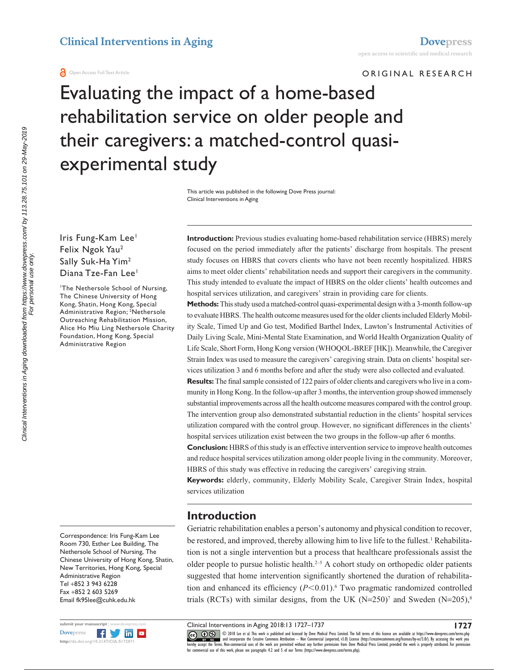#### **a** Open Access Full Text Article

ORIGINAL RESEARCH

Evaluating the impact of a home-based rehabilitation service on older people and their caregivers: a matched-control quasiexperimental study

> This article was published in the following Dove Press journal: Clinical Interventions in Aging

### Iris Fung-Kam Lee<sup>1</sup> Felix Ngok Yau2 Sally Suk-Ha Yim2 Diana Tze-Fan Lee<sup>1</sup>

1 The Nethersole School of Nursing, The Chinese University of Hong Kong, Shatin, Hong Kong, Special Administrative Region; 2 Nethersole Outreaching Rehabilitation Mission, Alice Ho Miu Ling Nethersole Charity Foundation, Hong Kong, Special Administrative Region

Correspondence: Iris Fung-Kam Lee Room 730, Esther Lee Building, The Nethersole School of Nursing, The Chinese University of Hong Kong, Shatin, New Territories, Hong Kong, Special Administrative Region Tel +852 3 943 6228 Fax +852 2 603 5269 Email [fk95lee@cuhk.edu.hk](mailto:fk95lee@cuhk.edu.hk)



**Introduction:** Previous studies evaluating home-based rehabilitation service (HBRS) merely focused on the period immediately after the patients' discharge from hospitals. The present study focuses on HBRS that covers clients who have not been recently hospitalized. HBRS aims to meet older clients' rehabilitation needs and support their caregivers in the community. This study intended to evaluate the impact of HBRS on the older clients' health outcomes and hospital services utilization, and caregivers' strain in providing care for clients.

**Methods:** This study used a matched-control quasi-experimental design with a 3-month follow-up to evaluate HBRS. The health outcome measures used for the older clients included Elderly Mobility Scale, Timed Up and Go test, Modified Barthel Index, Lawton's Instrumental Activities of Daily Living Scale, Mini-Mental State Examination, and World Health Organization Quality of Life Scale, Short Form, Hong Kong version (WHOQOL-BREF [HK]). Meanwhile, the Caregiver Strain Index was used to measure the caregivers' caregiving strain. Data on clients' hospital services utilization 3 and 6 months before and after the study were also collected and evaluated.

**Results:** The final sample consisted of 122 pairs of older clients and caregivers who live in a community in Hong Kong. In the follow-up after 3 months, the intervention group showed immensely substantial improvements across all the health outcome measures compared with the control group. The intervention group also demonstrated substantial reduction in the clients' hospital services utilization compared with the control group. However, no significant differences in the clients' hospital services utilization exist between the two groups in the follow-up after 6 months.

**Conclusion:** HBRS of this study is an effective intervention service to improve health outcomes and reduce hospital services utilization among older people living in the community. Moreover, HBRS of this study was effective in reducing the caregivers' caregiving strain.

**Keywords:** elderly, community, Elderly Mobility Scale, Caregiver Strain Index, hospital services utilization

## **Introduction**

Geriatric rehabilitation enables a person's autonomy and physical condition to recover, be restored, and improved, thereby allowing him to live life to the fullest.<sup>1</sup> Rehabilitation is not a single intervention but a process that healthcare professionals assist the older people to pursue holistic health. $2-5$  A cohort study on orthopedic older patients suggested that home intervention significantly shortened the duration of rehabilitation and enhanced its efficiency  $(P<0.01)$ .<sup>6</sup> Two pragmatic randomized controlled trials (RCTs) with similar designs, from the UK  $(N=250)^7$  and Sweden  $(N=205)^8$ 

Clinical Interventions in Aging 2018:13 1727–1737

CCC 1 © 2018 Lee et al. This work is published and licensed by Dove Medical Press Limited. The full terms of this license are available at <https://www.dovepress.com/terms.php><br>[hereby accept the Terms](http://www.dovepress.com/permissions.php). Non-commercial uses of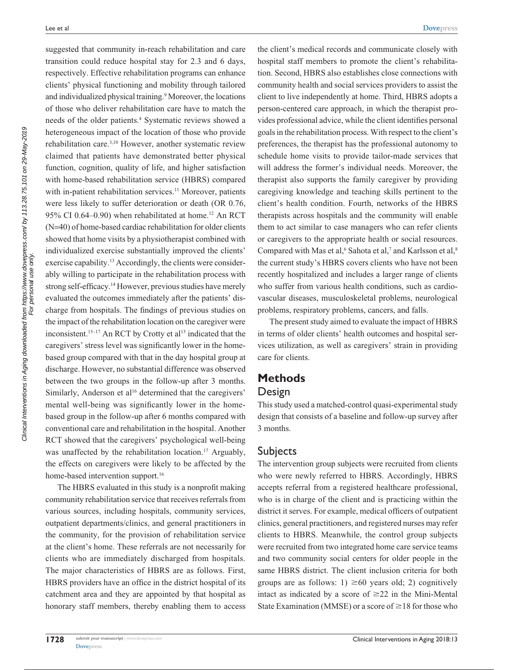Clinical Interventions in Aging downloaded from https://www.dovepress.com/ by 113.28.75.101 on 29-May-2019<br>For personal use only. Clinical Interventions in Aging downloaded from https://www.dovepress.com/ by 113.28.75.101 on 29-May-2019 For personal use only. suggested that community in-reach rehabilitation and care transition could reduce hospital stay for 2.3 and 6 days, respectively. Effective rehabilitation programs can enhance clients' physical functioning and mobility through tailored and individualized physical training.<sup>9</sup> Moreover, the locations of those who deliver rehabilitation care have to match the needs of the older patients.4 Systematic reviews showed a heterogeneous impact of the location of those who provide rehabilitation care.3,10 However, another systematic review claimed that patients have demonstrated better physical function, cognition, quality of life, and higher satisfaction with home-based rehabilitation service (HBRS) compared with in-patient rehabilitation services.<sup>11</sup> Moreover, patients were less likely to suffer deterioration or death (OR 0.76, 95% CI 0.64–0.90) when rehabilitated at home.<sup>12</sup> An RCT (N=40) of home-based cardiac rehabilitation for older clients showed that home visits by a physiotherapist combined with individualized exercise substantially improved the clients' exercise capability.<sup>13</sup> Accordingly, the clients were considerably willing to participate in the rehabilitation process with strong self-efficacy.14 However, previous studies have merely evaluated the outcomes immediately after the patients' discharge from hospitals. The findings of previous studies on the impact of the rehabilitation location on the caregiver were inconsistent.<sup>15–17</sup> An RCT by Crotty et al<sup>15</sup> indicated that the caregivers' stress level was significantly lower in the homebased group compared with that in the day hospital group at discharge. However, no substantial difference was observed between the two groups in the follow-up after 3 months. Similarly, Anderson et al<sup>16</sup> determined that the caregivers' mental well-being was significantly lower in the homebased group in the follow-up after 6 months compared with conventional care and rehabilitation in the hospital. Another RCT showed that the caregivers' psychological well-being was unaffected by the rehabilitation location.<sup>17</sup> Arguably, the effects on caregivers were likely to be affected by the home-based intervention support.<sup>16</sup>

The HBRS evaluated in this study is a nonprofit making community rehabilitation service that receives referrals from various sources, including hospitals, community services, outpatient departments/clinics, and general practitioners in the community, for the provision of rehabilitation service at the client's home. These referrals are not necessarily for clients who are immediately discharged from hospitals. The major characteristics of HBRS are as follows. First, HBRS providers have an office in the district hospital of its catchment area and they are appointed by that hospital as honorary staff members, thereby enabling them to access the client's medical records and communicate closely with hospital staff members to promote the client's rehabilitation. Second, HBRS also establishes close connections with community health and social services providers to assist the client to live independently at home. Third, HBRS adopts a person-centered care approach, in which the therapist provides professional advice, while the client identifies personal goals in the rehabilitation process. With respect to the client's preferences, the therapist has the professional autonomy to schedule home visits to provide tailor-made services that will address the former's individual needs. Moreover, the therapist also supports the family caregiver by providing caregiving knowledge and teaching skills pertinent to the client's health condition. Fourth, networks of the HBRS therapists across hospitals and the community will enable them to act similar to case managers who can refer clients or caregivers to the appropriate health or social resources. Compared with Mas et al,<sup>6</sup> Sahota et al,<sup>7</sup> and Karlsson et al,<sup>8</sup> the current study's HBRS covers clients who have not been recently hospitalized and includes a larger range of clients who suffer from various health conditions, such as cardiovascular diseases, musculoskeletal problems, neurological problems, respiratory problems, cancers, and falls.

The present study aimed to evaluate the impact of HBRS in terms of older clients' health outcomes and hospital services utilization, as well as caregivers' strain in providing care for clients.

# **Methods**

#### Design

This study used a matched-control quasi-experimental study design that consists of a baseline and follow-up survey after 3 months.

### **Subjects**

The intervention group subjects were recruited from clients who were newly referred to HBRS. Accordingly, HBRS accepts referral from a registered healthcare professional, who is in charge of the client and is practicing within the district it serves. For example, medical officers of outpatient clinics, general practitioners, and registered nurses may refer clients to HBRS. Meanwhile, the control group subjects were recruited from two integrated home care service teams and two community social centers for older people in the same HBRS district. The client inclusion criteria for both groups are as follows: 1)  $\geq 60$  years old; 2) cognitively intact as indicated by a score of  $\geq$ 22 in the Mini-Mental State Examination (MMSE) or a score of  $\geq$  18 for those who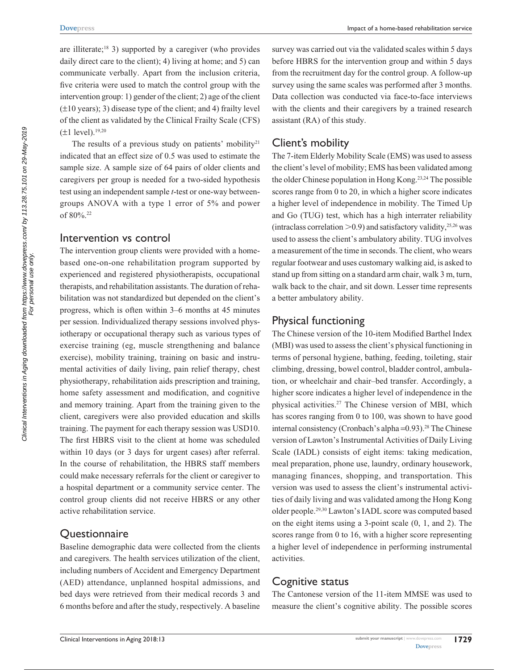are illiterate;<sup>18</sup> 3) supported by a caregiver (who provides daily direct care to the client); 4) living at home; and 5) can communicate verbally. Apart from the inclusion criteria, five criteria were used to match the control group with the intervention group: 1) gender of the client; 2) age of the client (±10 years); 3) disease type of the client; and 4) frailty level of the client as validated by the Clinical Frailty Scale (CFS)  $(\pm 1 \text{ level})$ .<sup>19,20</sup>

The results of a previous study on patients' mobility<sup>21</sup> indicated that an effect size of 0.5 was used to estimate the sample size. A sample size of 64 pairs of older clients and caregivers per group is needed for a two-sided hypothesis test using an independent sample *t*-test or one-way betweengroups ANOVA with a type 1 error of 5% and power of 80%.22

#### Intervention vs control

The intervention group clients were provided with a homebased one-on-one rehabilitation program supported by experienced and registered physiotherapists, occupational therapists, and rehabilitation assistants. The duration of rehabilitation was not standardized but depended on the client's progress, which is often within 3–6 months at 45 minutes per session. Individualized therapy sessions involved physiotherapy or occupational therapy such as various types of exercise training (eg, muscle strengthening and balance exercise), mobility training, training on basic and instrumental activities of daily living, pain relief therapy, chest physiotherapy, rehabilitation aids prescription and training, home safety assessment and modification, and cognitive and memory training. Apart from the training given to the client, caregivers were also provided education and skills training. The payment for each therapy session was USD10. The first HBRS visit to the client at home was scheduled within 10 days (or 3 days for urgent cases) after referral. In the course of rehabilitation, the HBRS staff members could make necessary referrals for the client or caregiver to a hospital department or a community service center. The control group clients did not receive HBRS or any other active rehabilitation service.

### **Questionnaire**

Baseline demographic data were collected from the clients and caregivers. The health services utilization of the client, including numbers of Accident and Emergency Department (AED) attendance, unplanned hospital admissions, and bed days were retrieved from their medical records 3 and 6 months before and after the study, respectively. A baseline

survey was carried out via the validated scales within 5 days before HBRS for the intervention group and within 5 days from the recruitment day for the control group. A follow-up survey using the same scales was performed after 3 months. Data collection was conducted via face-to-face interviews with the clients and their caregivers by a trained research assistant (RA) of this study.

### Client's mobility

The 7-item Elderly Mobility Scale (EMS) was used to assess the client's level of mobility; EMS has been validated among the older Chinese population in Hong Kong.23,24 The possible scores range from 0 to 20, in which a higher score indicates a higher level of independence in mobility. The Timed Up and Go (TUG) test, which has a high interrater reliability (intraclass correlation  $>$  0.9) and satisfactory validity,<sup>25,26</sup> was used to assess the client's ambulatory ability. TUG involves a measurement of the time in seconds. The client, who wears regular footwear and uses customary walking aid, is asked to stand up from sitting on a standard arm chair, walk 3 m, turn, walk back to the chair, and sit down. Lesser time represents a better ambulatory ability.

### Physical functioning

The Chinese version of the 10-item Modified Barthel Index (MBI) was used to assess the client's physical functioning in terms of personal hygiene, bathing, feeding, toileting, stair climbing, dressing, bowel control, bladder control, ambulation, or wheelchair and chair–bed transfer. Accordingly, a higher score indicates a higher level of independence in the physical activities.27 The Chinese version of MBI, which has scores ranging from 0 to 100, was shown to have good internal consistency (Cronbach's alpha =0.93).<sup>28</sup> The Chinese version of Lawton's Instrumental Activities of Daily Living Scale (IADL) consists of eight items: taking medication, meal preparation, phone use, laundry, ordinary housework, managing finances, shopping, and transportation. This version was used to assess the client's instrumental activities of daily living and was validated among the Hong Kong older people.29,30 Lawton's IADL score was computed based on the eight items using a 3-point scale (0, 1, and 2). The scores range from 0 to 16, with a higher score representing a higher level of independence in performing instrumental activities.

### Cognitive status

The Cantonese version of the 11-item MMSE was used to measure the client's cognitive ability. The possible scores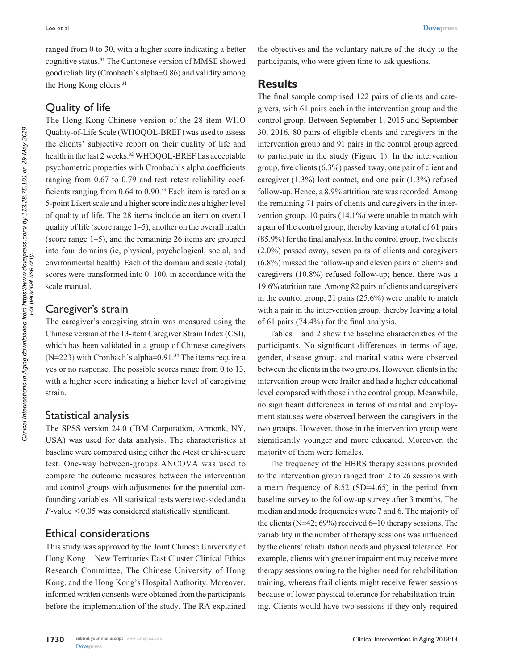ranged from 0 to 30, with a higher score indicating a better cognitive status.31 The Cantonese version of MMSE showed good reliability (Cronbach's alpha=0.86) and validity among the Hong Kong elders.<sup>31</sup>

# Quality of life

The Hong Kong-Chinese version of the 28-item WHO Quality-of-Life Scale (WHOQOL-BREF) was used to assess the clients' subjective report on their quality of life and health in the last 2 weeks.<sup>32</sup> WHOOOL-BREF has acceptable psychometric properties with Cronbach's alpha coefficients ranging from 0.67 to 0.79 and test–retest reliability coefficients ranging from 0.64 to 0.90.33 Each item is rated on a 5-point Likert scale and a higher score indicates a higher level of quality of life. The 28 items include an item on overall quality of life (score range 1–5), another on the overall health (score range 1–5), and the remaining 26 items are grouped into four domains (ie, physical, psychological, social, and environmental health). Each of the domain and scale (total) scores were transformed into 0–100, in accordance with the scale manual.

## Caregiver's strain

The caregiver's caregiving strain was measured using the Chinese version of the 13-item Caregiver Strain Index (CSI), which has been validated in a group of Chinese caregivers (N=223) with Cronbach's alpha=0.91.<sup>34</sup> The items require a yes or no response. The possible scores range from 0 to 13, with a higher score indicating a higher level of caregiving strain.

## Statistical analysis

The SPSS version 24.0 (IBM Corporation, Armonk, NY, USA) was used for data analysis. The characteristics at baseline were compared using either the *t*-test or chi-square test. One-way between-groups ANCOVA was used to compare the outcome measures between the intervention and control groups with adjustments for the potential confounding variables. All statistical tests were two-sided and a  $P$ -value  $\leq 0.05$  was considered statistically significant.

# Ethical considerations

This study was approved by the Joint Chinese University of Hong Kong – New Territories East Cluster Clinical Ethics Research Committee, The Chinese University of Hong Kong, and the Hong Kong's Hospital Authority. Moreover, informed written consents were obtained from the participants before the implementation of the study. The RA explained

the objectives and the voluntary nature of the study to the participants, who were given time to ask questions.

## **Results**

The final sample comprised 122 pairs of clients and caregivers, with 61 pairs each in the intervention group and the control group. Between September 1, 2015 and September 30, 2016, 80 pairs of eligible clients and caregivers in the intervention group and 91 pairs in the control group agreed to participate in the study (Figure 1). In the intervention group, five clients (6.3%) passed away, one pair of client and caregiver (1.3%) lost contact, and one pair (1.3%) refused follow-up. Hence, a 8.9% attrition rate was recorded. Among the remaining 71 pairs of clients and caregivers in the intervention group, 10 pairs (14.1%) were unable to match with a pair of the control group, thereby leaving a total of 61 pairs (85.9%) for the final analysis. In the control group, two clients (2.0%) passed away, seven pairs of clients and caregivers (6.8%) missed the follow-up and eleven pairs of clients and caregivers (10.8%) refused follow-up; hence, there was a 19.6% attrition rate. Among 82 pairs of clients and caregivers in the control group, 21 pairs (25.6%) were unable to match with a pair in the intervention group, thereby leaving a total of 61 pairs (74.4%) for the final analysis.

Tables 1 and 2 show the baseline characteristics of the participants. No significant differences in terms of age, gender, disease group, and marital status were observed between the clients in the two groups. However, clients in the intervention group were frailer and had a higher educational level compared with those in the control group. Meanwhile, no significant differences in terms of marital and employment statuses were observed between the caregivers in the two groups. However, those in the intervention group were significantly younger and more educated. Moreover, the majority of them were females.

The frequency of the HBRS therapy sessions provided to the intervention group ranged from 2 to 26 sessions with a mean frequency of 8.52 (SD=4.65) in the period from baseline survey to the follow-up survey after 3 months. The median and mode frequencies were 7 and 6. The majority of the clients (N=42; 69%) received 6–10 therapy sessions. The variability in the number of therapy sessions was influenced by the clients' rehabilitation needs and physical tolerance. For example, clients with greater impairment may receive more therapy sessions owing to the higher need for rehabilitation training, whereas frail clients might receive fewer sessions because of lower physical tolerance for rehabilitation training. Clients would have two sessions if they only required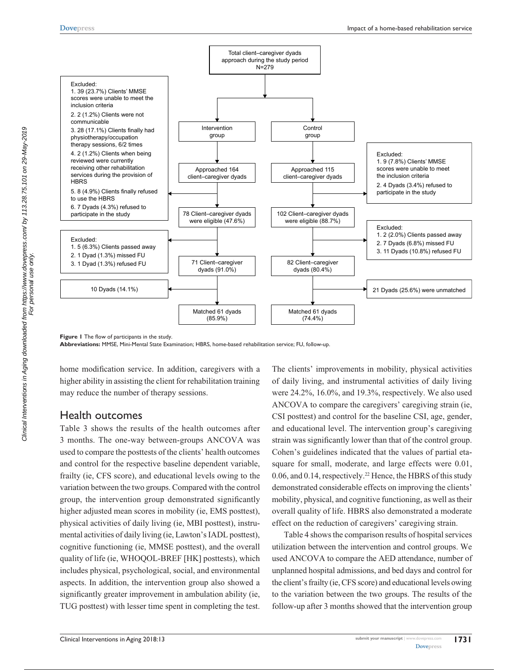

**Figure 1** The flow of participants in the study.

**Abbreviations:** MMSE, Mini-Mental State Examination; HBRS, home-based rehabilitation service; FU, follow-up.

home modification service. In addition, caregivers with a higher ability in assisting the client for rehabilitation training may reduce the number of therapy sessions.

#### Health outcomes

Table 3 shows the results of the health outcomes after 3 months. The one-way between-groups ANCOVA was used to compare the posttests of the clients' health outcomes and control for the respective baseline dependent variable, frailty (ie, CFS score), and educational levels owing to the variation between the two groups. Compared with the control group, the intervention group demonstrated significantly higher adjusted mean scores in mobility (ie, EMS posttest), physical activities of daily living (ie, MBI posttest), instrumental activities of daily living (ie, Lawton's IADL posttest), cognitive functioning (ie, MMSE posttest), and the overall quality of life (ie, WHOQOL-BREF [HK] posttests), which includes physical, psychological, social, and environmental aspects. In addition, the intervention group also showed a significantly greater improvement in ambulation ability (ie, TUG posttest) with lesser time spent in completing the test.

The clients' improvements in mobility, physical activities of daily living, and instrumental activities of daily living were 24.2%, 16.0%, and 19.3%, respectively. We also used ANCOVA to compare the caregivers' caregiving strain (ie, CSI posttest) and control for the baseline CSI, age, gender, and educational level. The intervention group's caregiving strain was significantly lower than that of the control group. Cohen's guidelines indicated that the values of partial etasquare for small, moderate, and large effects were 0.01, 0.06, and 0.14, respectively.<sup>22</sup> Hence, the HBRS of this study demonstrated considerable effects on improving the clients' mobility, physical, and cognitive functioning, as well as their overall quality of life. HBRS also demonstrated a moderate effect on the reduction of caregivers' caregiving strain.

Table 4 shows the comparison results of hospital services utilization between the intervention and control groups. We used ANCOVA to compare the AED attendance, number of unplanned hospital admissions, and bed days and control for the client's frailty (ie, CFS score) and educational levels owing to the variation between the two groups. The results of the follow-up after 3 months showed that the intervention group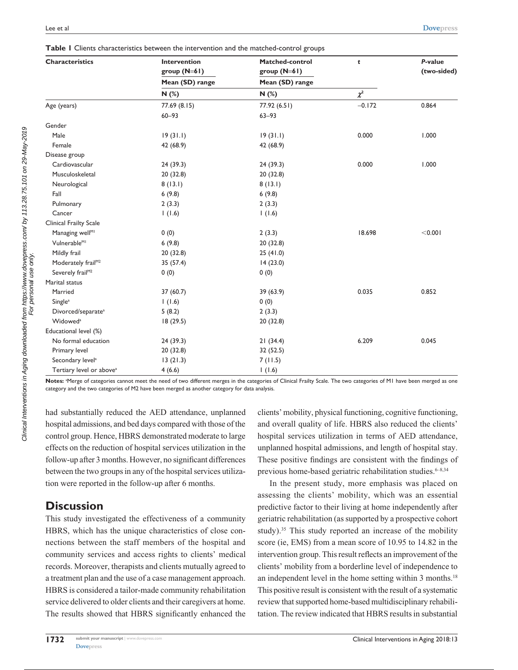| <b>Characteristics</b>               | <b>Intervention</b> | <b>Matched-control</b> | t        | P-value     |  |
|--------------------------------------|---------------------|------------------------|----------|-------------|--|
|                                      | group (N=61)        | group (N=61)           |          | (two-sided) |  |
|                                      | Mean (SD) range     | Mean (SD) range        |          |             |  |
|                                      | N(%)                | N(%)                   | $\chi^2$ |             |  |
| Age (years)                          | 77.69 (8.15)        | 77.92 (6.51)           | $-0.172$ | 0.864       |  |
|                                      | $60 - 93$           | $63 - 93$              |          |             |  |
| Gender                               |                     |                        |          |             |  |
| Male                                 | 19(31.1)            | 19(31.1)               | 0.000    | 1.000       |  |
| Female                               | 42 (68.9)           | 42 (68.9)              |          |             |  |
| Disease group                        |                     |                        |          |             |  |
| Cardiovascular                       | 24 (39.3)           | 24(39.3)               | 0.000    | 1.000       |  |
| Musculoskeletal                      | 20 (32.8)           | 20 (32.8)              |          |             |  |
| Neurological                         | 8(13.1)             | 8(13.1)                |          |             |  |
| Fall                                 | 6(9.8)              | 6(9.8)                 |          |             |  |
| Pulmonary                            | 2(3.3)              | 2(3.3)                 |          |             |  |
| Cancer                               | 1(1.6)              | 1(1.6)                 |          |             |  |
| Clinical Frailty Scale               |                     |                        |          |             |  |
| Managing well <sup>MI</sup>          | 0(0)                | 2(3.3)                 | 18.698   | < 0.001     |  |
| Vulnerable <sup>MI</sup>             | 6(9.8)              | 20 (32.8)              |          |             |  |
| Mildly frail                         | 20 (32.8)           | 25(41.0)               |          |             |  |
| Moderately frail <sup>M2</sup>       | 35 (57.4)           | 14(23.0)               |          |             |  |
| Severely frail <sup>M2</sup>         | 0(0)                | 0(0)                   |          |             |  |
| Marital status                       |                     |                        |          |             |  |
| Married                              | 37(60.7)            | 39(63.9)               | 0.035    | 0.852       |  |
| Single <sup>a</sup>                  | 1(1.6)              | 0(0)                   |          |             |  |
| Divorced/separate <sup>a</sup>       | 5(8.2)              | 2(3.3)                 |          |             |  |
| Widowed <sup>a</sup>                 | 18(29.5)            | 20 (32.8)              |          |             |  |
| Educational level (%)                |                     |                        |          |             |  |
| No formal education                  | 24 (39.3)           | 21(34.4)               | 6.209    | 0.045       |  |
| Primary level                        | 20 (32.8)           | 32 (52.5)              |          |             |  |
| Secondary level <sup>a</sup>         | 13(21.3)            | 7(11.5)                |          |             |  |
| Tertiary level or above <sup>a</sup> | 4(6.6)              | 1(1.6)                 |          |             |  |

Notes: <sup>a</sup>Merge of categories cannot meet the need of two different merges in the categories of Clinical Frailty Scale. The two categories of M1 have been merged as one category and the two categories of M2 have been merged as another category for data analysis.

had substantially reduced the AED attendance, unplanned hospital admissions, and bed days compared with those of the control group. Hence, HBRS demonstrated moderate to large effects on the reduction of hospital services utilization in the follow-up after 3 months. However, no significant differences between the two groups in any of the hospital services utilization were reported in the follow-up after 6 months.

## **Discussion**

This study investigated the effectiveness of a community HBRS, which has the unique characteristics of close connections between the staff members of the hospital and community services and access rights to clients' medical records. Moreover, therapists and clients mutually agreed to a treatment plan and the use of a case management approach. HBRS is considered a tailor-made community rehabilitation service delivered to older clients and their caregivers at home. The results showed that HBRS significantly enhanced the

clients' mobility, physical functioning, cognitive functioning, and overall quality of life. HBRS also reduced the clients' hospital services utilization in terms of AED attendance, unplanned hospital admissions, and length of hospital stay. These positive findings are consistent with the findings of previous home-based geriatric rehabilitation studies. $6-8,34$ 

In the present study, more emphasis was placed on assessing the clients' mobility, which was an essential predictive factor to their living at home independently after geriatric rehabilitation (as supported by a prospective cohort study).<sup>35</sup> This study reported an increase of the mobility score (ie, EMS) from a mean score of 10.95 to 14.82 in the intervention group. This result reflects an improvement of the clients' mobility from a borderline level of independence to an independent level in the home setting within 3 months.<sup>18</sup> This positive result is consistent with the result of a systematic review that supported home-based multidisciplinary rehabilitation. The review indicated that HBRS results in substantial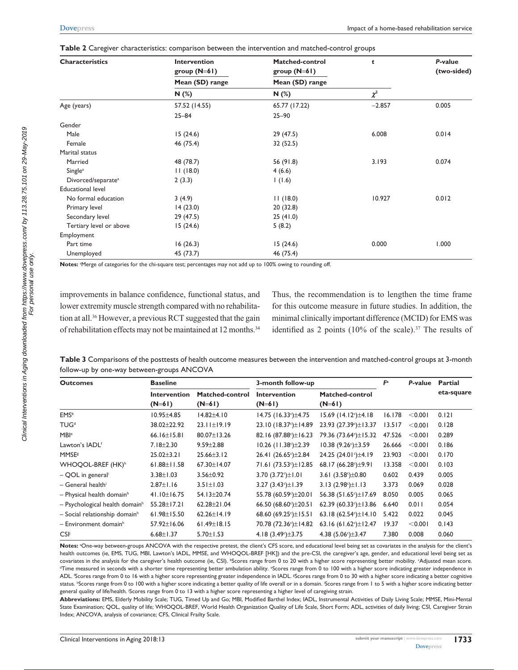| <b>Characteristics</b>         | <b>Intervention</b> | Matched-control | t        | P-value<br>(two-sided) |  |
|--------------------------------|---------------------|-----------------|----------|------------------------|--|
|                                | group $(N=61)$      | group $(N=61)$  |          |                        |  |
|                                | Mean (SD) range     | Mean (SD) range |          |                        |  |
|                                | N(%)                | N(%)            | $\chi^2$ |                        |  |
| Age (years)                    | 57.52 (14.55)       | 65.77 (17.22)   | $-2.857$ | 0.005                  |  |
|                                | $25 - 84$           | $25 - 90$       |          |                        |  |
| Gender                         |                     |                 |          |                        |  |
| Male                           | 15(24.6)            | 29(47.5)        | 6.008    | 0.014                  |  |
| Female                         | 46 (75.4)           | 32 (52.5)       |          |                        |  |
| Marital status                 |                     |                 |          |                        |  |
| Married                        | 48 (78.7)           | 56 (91.8)       | 3.193    | 0.074                  |  |
| Single <sup>a</sup>            | 11(18.0)            | 4(6.6)          |          |                        |  |
| Divorced/separate <sup>a</sup> | 2(3.3)              | 1(1.6)          |          |                        |  |
| <b>Educational level</b>       |                     |                 |          |                        |  |
| No formal education            | 3(4.9)              | 11(18.0)        | 10.927   | 0.012                  |  |
| Primary level                  | 14(23.0)            | 20(32.8)        |          |                        |  |
| Secondary level                | 29 (47.5)           | 25(41.0)        |          |                        |  |
| Tertiary level or above        | 15(24.6)            | 5(8.2)          |          |                        |  |
| Employment                     |                     |                 |          |                        |  |
| Part time                      | 16(26.3)            | 15(24.6)        | 0.000    | 1.000                  |  |
| Unemployed                     | 45 (73.7)           | 46 (75.4)       |          |                        |  |

**Table 2** Caregiver characteristics: comparison between the intervention and matched-control groups

Notes: <sup>a</sup>Merge of categories for the chi-square test; percentages may not add up to 100% owing to rounding off.

improvements in balance confidence, functional status, and lower extremity muscle strength compared with no rehabilitation at all.36 However, a previous RCT suggested that the gain of rehabilitation effects may not be maintained at 12 months.<sup>34</sup> Thus, the recommendation is to lengthen the time frame for this outcome measure in future studies. In addition, the minimal clinically important difference (MCID) for EMS was identified as 2 points (10% of the scale).<sup>37</sup> The results of

**Table 3** Comparisons of the posttests of health outcome measures between the intervention and matched-control groups at 3-month follow-up by one-way between-groups ANCOVA

| <b>Outcomes</b>                            | <b>Baseline</b>                 |                             | 3-month follow-up                 | F <sup>a</sup>                    | P-value | <b>Partial</b> |            |
|--------------------------------------------|---------------------------------|-----------------------------|-----------------------------------|-----------------------------------|---------|----------------|------------|
|                                            | <b>Intervention</b><br>$(N=61)$ | Matched-control<br>$(N=61)$ | <b>Intervention</b><br>$(N=61)$   | Matched-control<br>$(N=61)$       |         |                | eta-square |
| <b>EMS</b> <sup>b</sup>                    | $10.95 \pm 4.85$                | $14.82{\pm}4.10$            | $14.75$ (16.33s) ±4.75            | 15.69 $(14.12) + 4.18$            | 16.178  | < 0.001        | 0.121      |
| <b>TUG</b> <sup>d</sup>                    | 38.02±22.92                     | $23.11 \pm 19.19$           | 23.10 (18.37 <sup>c</sup> )±14.89 | 23.93 (27.39 <sup>c</sup> )±13.37 | 13.517  | < 0.001        | 0.128      |
| MBI <sup>e</sup>                           | $66.16 \pm 15.81$               | 80.07±13.26                 | 82.16 (87.88 <sup>c</sup> )±16.23 | 79.36 (73.64 <sup>c</sup> )±15.32 | 47.526  | < 0.001        | 0.289      |
| Lawton's IADL <sup>f</sup>                 | $7.18 \pm 2.30$                 | $9.59 \pm 2.88$             | $10.26$ (11.38°) $\pm$ 2.39       | $10.38(9.26c) \pm 3.59$           | 26.666  | < 0.001        | 0.186      |
| <b>MMSE</b> <sup>8</sup>                   | $25.02 \pm 3.21$                | $25.66 \pm 3.12$            | 26.41 $(26.65) \pm 2.84$          | 24.25 (24.01s) ±4.19              | 23.903  | < 0.001        | 0.170      |
| <b>WHOQOL-BREF (HK)<sup>h</sup></b>        | $61.88 \pm 11.58$               | 67.30±14.07                 | 71.61 (73.53 <sup>c</sup> )±12.85 | 68.17 (66.28 <sup>c</sup> )±9.91  | 13.358  | < 0.001        | 0.103      |
| - QOL in general                           | $3.38 \pm 1.03$                 | $3.56 \pm 0.92$             | 3.70 $(3.72)$ $\pm$ 1.01          | 3.61 $(3.58^{\circ})\pm0.80$      | 0.602   | 0.439          | 0.005      |
| - General health <sup>i</sup>              | $2.87 \pm 1.16$                 | $3.51 \pm 1.03$             | 3.27 $(3.43)$ $\pm$ 1.39          | 3.13 $(2.98c) \pm 1.13$           | 3.373   | 0.069          | 0.028      |
| $-$ Physical health domain <sup>h</sup>    | 41.10±16.75                     | 54.13±20.74                 | 55.78 (60.59 <sup>c</sup> )±20.01 | 56.38 (51.65 <sup>c</sup> )±17.69 | 8.050   | 0.005          | 0.065      |
| - Psychological health domain <sup>h</sup> | 55.28±17.21                     | $62.28 \pm 21.04$           | 66.50 (68.60 $\pm$ 20.51          | 62.39 $(60.33)$ ± 13.86           | 6.640   | 0.011          | 0.054      |
| - Social relationship domain <sup>h</sup>  | $61.98 \pm 15.50$               | $62.26 \pm 14.19$           | 68.60 (69.25 <sup>c</sup> )±15.51 | 63.18 $(62.54c)\pm14.10$          | 5.422   | 0.022          | 0.045      |
| $-$ Environment domain <sup>h</sup>        | 57.92±16.06                     | $61.49 \pm 18.15$           | 70.78 (72.36 <sup>c</sup> )±14.82 | 63.16 $(61.62)$ ± 12.47           | 19.37   | < 0.001        | 0.143      |
| CSI                                        | $6.68 \pm 1.37$                 | $5.70 \pm 1.53$             | 4.18 $(3.49) \pm 3.75$            | 4.38 $(5.06^{\circ})\pm3.47$      | 7.380   | 0.008          | 0.060      |

Notes: <sup>a</sup>One-way between-groups ANCOVA with the respective pretest, the client's CFS score, and educational level being set as covariates in the analysis for the client's health outcomes (ie, EMS, TUG, MBI, Lawton's IADL, MMSE, and WHOQOL-BREF [HK]) and the pre-CSI, the caregiver's age, gender, and educational level being set as covariates in the analysis for the caregiver's health outcome (ie, CSI). "Scores range from 0 to 20 with a higher score representing better mobility. "Adjusted mean score.<br>"Time measured in seconds with a shorter time repr Time measured in seconds with a shorter time representing better ambulation ability. "Scores range from 0 to 100 with a higher score indicating greater independence in ADL. 'Scores range from 0 to 16 with a higher score representing greater independence in IADL. \*Scores range from 0 to 30 with a higher score indicating a better cognitive status. "Scores range from 0 to 100 with a higher score indicating a better quality of life overall or in a domain. 'Scores range from 1 to 5 with a higher score indicating better general quality of life/health. j Scores range from 0 to 13 with a higher score representing a higher level of caregiving strain.

**Abbreviations:** EMS, Elderly Mobility Scale; TUG, Timed Up and Go; MBI, Modified Barthel Index; IADL, Instrumental Activities of Daily Living Scale; MMSE, Mini-Mental State Examination; QOL, quality of life; WHOQOL-BREF, World Health Organization Quality of Life Scale, Short Form; ADL, activities of daily living; CSI, Caregiver Strain Index; ANCOVA, analysis of covariance; CFS, Clinical Frailty Scale.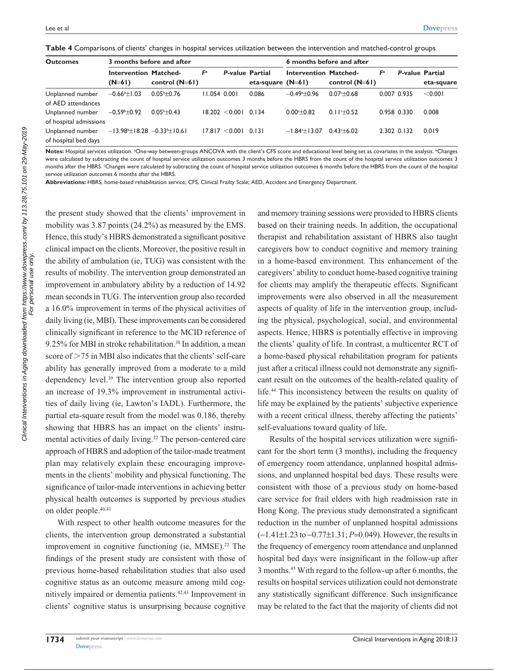| Table 4 Comparisons of clients' changes in hospital services utilization between the intervention and matched-control groups |  |  |  |
|------------------------------------------------------------------------------------------------------------------------------|--|--|--|
|                                                                                                                              |  |  |  |

| <b>Outcomes</b>                            | 3 months before and after                                        |                       |                |                        | 6 months before and after |                              |                  |                |                        |            |
|--------------------------------------------|------------------------------------------------------------------|-----------------------|----------------|------------------------|---------------------------|------------------------------|------------------|----------------|------------------------|------------|
|                                            | <b>Intervention Matched-</b><br>$(N=61)$                         | control $(N=61)$      | F <sup>a</sup> | <b>P-value Partial</b> | eta-square $(N=61)$       | <b>Intervention Matched-</b> | control $(N=61)$ | F <sup>a</sup> | <b>P-value Partial</b> | eta-square |
| Unplanned number<br>of AED attendances     | $-0.66$ <sup>b</sup> $\pm$ 1.03                                  | $0.05^{\rm b}$ +0.76  | $11.054$ 0.001 |                        | 0.086                     | $-0.49 - 0.96$               | $0.07 + 0.68$    |                | 0.007 0.935            | < 0.001    |
| Unplanned number<br>of hospital admissions | $-0.59$ <sup>b</sup> $\pm$ 0.92                                  | $0.05^{\circ}$ ± 0.43 |                | 18.202 < 0.001         | 0.134                     | $0.00 \div 0.82$             | $0.11 \pm 0.52$  |                | 0.958 0.330            | 0.008      |
| Unplanned number<br>of hospital bed days   | $-13.98$ <sup>b</sup> $\pm 18.28 -0.33$ <sup>b</sup> $\pm 10.61$ |                       |                | 17.817 < 0.001         | 0.131                     | $-1.84 \pm 13.07$            | $0.43 + 6.02$    |                | 2.302 0.132            | 0.019      |

Notes: Hospital services utilization. <sup>a</sup>One-way between-groups ANCOVA with the client's CFS score and educational level being set as covariates in the analysis. <sup>b</sup>Changes were calculated by subtracting the count of hospital service utilization outcomes 3 months before the HBRS from the count of the hospital service utilization outcomes 3 months after the HBRS. c Changes were calculated by subtracting the count of hospital service utilization outcomes 6 months before the HBRS from the count of the hospital service utilization outcomes 6 months after the HBRS.

**Abbreviations:** HBRS, home-based rehabilitation service; CFS, Clinical Frailty Scale; AED, Accident and Emergency Department.

the present study showed that the clients' improvement in mobility was 3.87 points (24.2%) as measured by the EMS. Hence, this study's HBRS demonstrated a significant positive clinical impact on the clients. Moreover, the positive result in the ability of ambulation (ie, TUG) was consistent with the results of mobility. The intervention group demonstrated an improvement in ambulatory ability by a reduction of 14.92 mean seconds in TUG. The intervention group also recorded a 16.0% improvement in terms of the physical activities of daily living (ie, MBI). These improvements can be considered clinically significant in reference to the MCID reference of 9.25% for MBI in stroke rehabilitation.<sup>38</sup> In addition, a mean score of  $>75$  in MBI also indicates that the clients' self-care ability has generally improved from a moderate to a mild dependency level.39 The intervention group also reported an increase of 19.3% improvement in instrumental activities of daily living (ie, Lawton's IADL). Furthermore, the partial eta-square result from the model was 0.186, thereby showing that HBRS has an impact on the clients' instrumental activities of daily living.<sup>22</sup> The person-centered care approach of HBRS and adoption of the tailor-made treatment plan may relatively explain these encouraging improvements in the clients' mobility and physical functioning. The significance of tailor-made interventions in achieving better physical health outcomes is supported by previous studies on older people.40,41

With respect to other health outcome measures for the clients, the intervention group demonstrated a substantial improvement in cognitive functioning (ie,  $MMSE$ ).<sup>22</sup> The findings of the present study are consistent with those of previous home-based rehabilitation studies that also used cognitive status as an outcome measure among mild cognitively impaired or dementia patients.42,43 Improvement in clients' cognitive status is unsurprising because cognitive and memory training sessions were provided to HBRS clients based on their training needs. In addition, the occupational therapist and rehabilitation assistant of HBRS also taught caregivers how to conduct cognitive and memory training in a home-based environment. This enhancement of the caregivers' ability to conduct home-based cognitive training for clients may amplify the therapeutic effects. Significant improvements were also observed in all the measurement aspects of quality of life in the intervention group, including the physical, psychological, social, and environmental aspects. Hence, HBRS is potentially effective in improving the clients' quality of life. In contrast, a multicenter RCT of a home-based physical rehabilitation program for patients just after a critical illness could not demonstrate any significant result on the outcomes of the health-related quality of life.44 This inconsistency between the results on quality of life may be explained by the patients' subjective experience with a recent critical illness, thereby affecting the patients' self-evaluations toward quality of life.

Results of the hospital services utilization were significant for the short term (3 months), including the frequency of emergency room attendance, unplanned hospital admissions, and unplanned hospital bed days. These results were consistent with those of a previous study on home-based care service for frail elders with high readmission rate in Hong Kong. The previous study demonstrated a significant reduction in the number of unplanned hospital admissions (−1.41±1.23 to −0.77±1.31; *P*=0.049). However, the results in the frequency of emergency room attendance and unplanned hospital bed days were insignificant in the follow-up after 3 months.45 With regard to the follow-up after 6 months, the results on hospital services utilization could not demonstrate any statistically significant difference. Such insignificance may be related to the fact that the majority of clients did not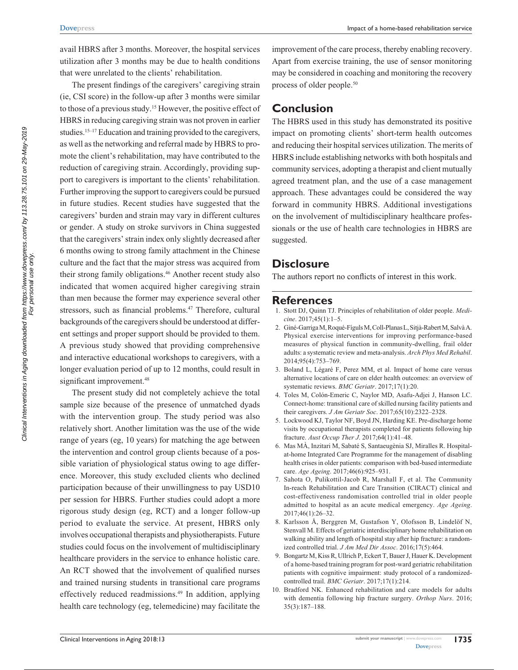avail HBRS after 3 months. Moreover, the hospital services utilization after 3 months may be due to health conditions that were unrelated to the clients' rehabilitation.

The present findings of the caregivers' caregiving strain (ie, CSI score) in the follow-up after 3 months were similar to those of a previous study.<sup>15</sup> However, the positive effect of HBRS in reducing caregiving strain was not proven in earlier studies.<sup>15–17</sup> Education and training provided to the caregivers, as well as the networking and referral made by HBRS to promote the client's rehabilitation, may have contributed to the reduction of caregiving strain. Accordingly, providing support to caregivers is important to the clients' rehabilitation. Further improving the support to caregivers could be pursued in future studies. Recent studies have suggested that the caregivers' burden and strain may vary in different cultures or gender. A study on stroke survivors in China suggested that the caregivers' strain index only slightly decreased after 6 months owing to strong family attachment in the Chinese culture and the fact that the major stress was acquired from their strong family obligations.<sup>46</sup> Another recent study also indicated that women acquired higher caregiving strain than men because the former may experience several other stressors, such as financial problems.<sup>47</sup> Therefore, cultural backgrounds of the caregivers should be understood at different settings and proper support should be provided to them. A previous study showed that providing comprehensive and interactive educational workshops to caregivers, with a longer evaluation period of up to 12 months, could result in significant improvement.<sup>48</sup>

The present study did not completely achieve the total sample size because of the presence of unmatched dyads with the intervention group. The study period was also relatively short. Another limitation was the use of the wide range of years (eg, 10 years) for matching the age between the intervention and control group clients because of a possible variation of physiological status owing to age difference. Moreover, this study excluded clients who declined participation because of their unwillingness to pay USD10 per session for HBRS. Further studies could adopt a more rigorous study design (eg, RCT) and a longer follow-up period to evaluate the service. At present, HBRS only involves occupational therapists and physiotherapists. Future studies could focus on the involvement of multidisciplinary healthcare providers in the service to enhance holistic care. An RCT showed that the involvement of qualified nurses and trained nursing students in transitional care programs effectively reduced readmissions.<sup>49</sup> In addition, applying health care technology (eg, telemedicine) may facilitate the

improvement of the care process, thereby enabling recovery. Apart from exercise training, the use of sensor monitoring may be considered in coaching and monitoring the recovery process of older people.50

## **Conclusion**

The HBRS used in this study has demonstrated its positive impact on promoting clients' short-term health outcomes and reducing their hospital services utilization. The merits of HBRS include establishing networks with both hospitals and community services, adopting a therapist and client mutually agreed treatment plan, and the use of a case management approach. These advantages could be considered the way forward in community HBRS. Additional investigations on the involvement of multidisciplinary healthcare professionals or the use of health care technologies in HBRS are suggested.

### **Disclosure**

The authors report no conflicts of interest in this work.

### **References**

- 1. Stott DJ, Quinn TJ. Principles of rehabilitation of older people. *Medicine*. 2017;45(1):1–5.
- 2. Giné-Garriga M, Roqué-Fíguls M, Coll-Planas L, Sitjà-Rabert M, Salvà A. Physical exercise interventions for improving performance-based measures of physical function in community-dwelling, frail older adults: a systematic review and meta-analysis. *Arch Phys Med Rehabil*. 2014;95(4):753–769.
- 3. Boland L, Légaré F, Perez MM, et al. Impact of home care versus alternative locations of care on elder health outcomes: an overview of systematic reviews. *BMC Geriatr*. 2017;17(1):20.
- 4. Toles M, Colón-Emeric C, Naylor MD, Asafu-Adjei J, Hanson LC. Connect-home: transitional care of skilled nursing facility patients and their caregivers. *J Am Geriatr Soc*. 2017;65(10):2322–2328.
- 5. Lockwood KJ, Taylor NF, Boyd JN, Harding KE. Pre-discharge home visits by occupational therapists completed for patients following hip fracture. *Aust Occup Ther J*. 2017;64(1):41–48.
- 6. Mas MÀ, Inzitari M, Sabaté S, Santaeugènia SJ, Miralles R. Hospitalat-home Integrated Care Programme for the management of disabling health crises in older patients: comparison with bed-based intermediate care. *Age Ageing*. 2017;46(6):925–931.
- 7. Sahota O, Pulikottil-Jacob R, Marshall F, et al. The Community In-reach Rehabilitation and Care Transition (CIRACT) clinical and cost-effectiveness randomisation controlled trial in older people admitted to hospital as an acute medical emergency. *Age Ageing*. 2017;46(1):26–32.
- 8. Karlsson Å, Berggren M, Gustafson Y, Olofsson B, Lindelöf N, Stenvall M. Effects of geriatric interdisciplinary home rehabilitation on walking ability and length of hospital stay after hip fracture: a randomized controlled trial. *J Am Med Dir Assoc*. 2016;17(5):464.
- 9. Bongartz M, Kiss R, Ullrich P, Eckert T, Bauer J, Hauer K. Development of a home-based training program for post-ward geriatric rehabilitation patients with cognitive impairment: study protocol of a randomizedcontrolled trail. *BMC Geriatr*. 2017;17(1):214.
- 10. Bradford NK. Enhanced rehabilitation and care models for adults with dementia following hip fracture surgery. *Orthop Nurs*. 2016; 35(3):187–188.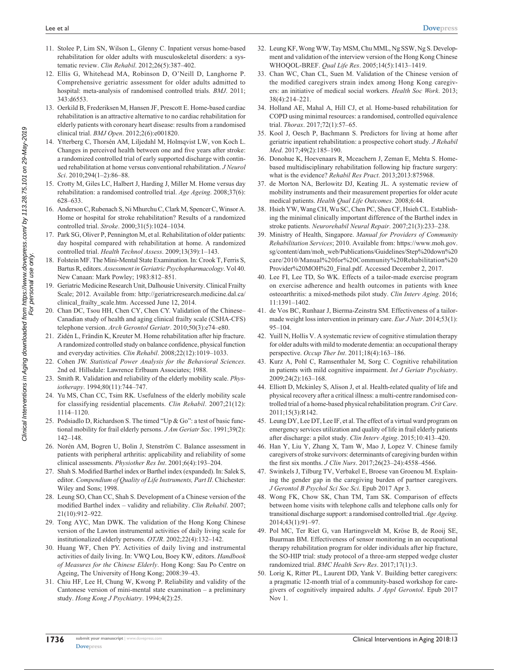- 11. Stolee P, Lim SN, Wilson L, Glenny C. Inpatient versus home-based rehabilitation for older adults with musculoskeletal disorders: a systematic review. *Clin Rehabil*. 2012;26(5):387–402.
- 12. Ellis G, Whitehead MA, Robinson D, O'Neill D, Langhorne P. Comprehensive geriatric assessment for older adults admitted to hospital: meta-analysis of randomised controlled trials. *BMJ*. 2011; 343:d6553.
- 13. Oerkild B, Frederiksen M, Hansen JF, Prescott E. Home-based cardiac rehabilitation is an attractive alternative to no cardiac rehabilitation for elderly patients with coronary heart disease: results from a randomised clinical trial. *BMJ Open*. 2012;2(6):e001820.
- 14. Ytterberg C, Thorsén AM, Liljedahl M, Holmqvist LW, von Koch L. Changes in perceived health between one and five years after stroke: a randomized controlled trial of early supported discharge with continued rehabilitation at home versus conventional rehabilitation. *J Neurol Sci*. 2010;294(1–2):86–88.
- 15. Crotty M, Giles LC, Halbert J, Harding J, Miller M. Home versus day rehabilitation: a randomised controlled trial. *Age Ageing*. 2008;37(6): 628–633.
- 16. Anderson C, Rubenach S, Ni Mhurchu C, Clark M, Spencer C, Winsor A. Home or hospital for stroke rehabilitation? Results of a randomized controlled trial. *Stroke*. 2000;31(5):1024–1034.
- 17. Park SG, Oliver P, Pennington M, et al. Rehabilitation of older patients: day hospital compared with rehabilitation at home. A randomized controlled trial. *Health Technol Assess*. 2009;13(39):1–143.
- 18. Folstein MF. The Mini-Mental State Examination. In: Crook T, Ferris S, Bartus R, editors. *Assessment in Geriatric Psychopharmacology*. Vol 40. New Canaan: Mark Powley; 1983:812–851.
- 19. Geriatric Medicine Research Unit, Dalhousie University. Clinical Frailty Scale; 2012. Available from: [http://geriatricresearch.medicine.dal.ca/](http://geriatricresearch.medicine.dal.ca/clinical_frailty_scale.htm) [clinical\\_frailty\\_scale.htm](http://geriatricresearch.medicine.dal.ca/clinical_frailty_scale.htm). Accessed June 12, 2014.
- 20. Chan DC, Tsou HH, Chen CY, Chen CY. Validation of the Chinese– Canadian study of health and aging clinical frailty scale (CSHA-CFS) telephone version. *Arch Gerontol Geriatr*. 2010;50(3):e74–e80.
- 21. Zidén L, Frändin K, Kreuter M. Home rehabilitation after hip fracture. A randomized controlled study on balance confidence, physical function and everyday activities. *Clin Rehabil*. 2008;22(12):1019–1033.
- 22. Cohen JW. *Statistical Power Analysis for the Behavioral Sciences*. 2nd ed. Hillsdale: Lawrence Erlbaum Associates; 1988.
- 23. Smith R. Validation and reliability of the elderly mobility scale. *Physiotherapy*. 1994;80(11):744–747.
- 24. Yu MS, Chan CC, Tsim RK. Usefulness of the elderly mobility scale for classifying residential placements. *Clin Rehabil*. 2007;21(12): 1114–1120.
- 25. Podsiadlo D, Richardson S. The timed "Up & Go": a test of basic functional mobility for frail elderly persons. *J Am Geriatr Soc*. 1991;39(2): 142–148.
- 26. Norén AM, Bogren U, Bolin J, Stenström C. Balance assessment in patients with peripheral arthritis: applicability and reliability of some clinical assessments. *Physiother Res Int*. 2001;6(4):193–204.
- 27. Shah S. Modified Barthel index or Barthel index (expanded). In: Salek S, editor. *Compendium of Quality of Life Instruments, Part II*. Chichester: Wiley and Sons; 1998.
- 28. Leung SO, Chan CC, Shah S. Development of a Chinese version of the modified Barthel index – validity and reliability. *Clin Rehabil*. 2007; 21(10):912–922.
- 29. Tong AYC, Man DWK. The validation of the Hong Kong Chinese version of the Lawton instrumental activities of daily living scale for institutionalized elderly persons. *OTJR*. 2002;22(4):132–142.
- 30. Huang WF, Chen PY. Activities of daily living and instrumental activities of daily living. In: VWQ Lou, Boey KW, editors. *Handbook of Measures for the Chinese Elderly*. Hong Kong: Sau Po Centre on Ageing, The University of Hong Kong; 2008:39–43.
- 31. Chiu HF, Lee H, Chung W, Kwong P. Reliability and validity of the Cantonese version of mini-mental state examination – a preliminary study. *Hong Kong J Psychiatry*. 1994;4(2):25.
- 32. Leung KF, Wong WW, Tay MSM, Chu MML, Ng SSW, Ng S. Development and validation of the interview version of the Hong Kong Chinese WHOQOL-BREF. *Qual Life Res*. 2005;14(5):1413–1419.
- 33. Chan WC, Chan CL, Suen M. Validation of the Chinese version of the modified caregivers strain index among Hong Kong caregivers: an initiative of medical social workers. *Health Soc Work*. 2013; 38(4):214–221.
- 34. Holland AE, Mahal A, Hill CJ, et al. Home-based rehabilitation for COPD using minimal resources: a randomised, controlled equivalence trial. *Thorax*. 2017;72(1):57–65.
- 35. Kool J, Oesch P, Bachmann S. Predictors for living at home after geriatric inpatient rehabilitation: a prospective cohort study. *J Rehabil Med*. 2017;49(2):185–190.
- 36. Donohue K, Hoevenaars R, Mceachern J, Zeman E, Mehta S. Homebased multidisciplinary rehabilitation following hip fracture surgery: what is the evidence? *Rehabil Res Pract*. 2013;2013:875968.
- 37. de Morton NA, Berlowitz DJ, Keating JL. A systematic review of mobility instruments and their measurement properties for older acute medical patients. *Health Qual Life Outcomes*. 2008;6:44.
- 38. Hsieh YW, Wang CH, Wu SC, Chen PC, Sheu CF, Hsieh CL. Establishing the minimal clinically important difference of the Barthel index in stroke patients. *Neurorehabil Neural Repair*. 2007;21(3):233–238.
- 39. Ministry of Health, Singapore. *Manual for Providers of Community Rehabilitation Services*; 2010. Available from: [https://www.moh.gov.](https://www.moh.gov.sg/content/dam/moh_web/Publications/Guidelines/Step%20down%20care/2010/Manual%20for%20Community%20Rehabilitation%20Provider%20MOH%20_Final.pdf) [sg/content/dam/moh\\_web/Publications/Guidelines/Step%20down%20](https://www.moh.gov.sg/content/dam/moh_web/Publications/Guidelines/Step%20down%20care/2010/Manual%20for%20Community%20Rehabilitation%20Provider%20MOH%20_Final.pdf) [care/2010/Manual%20for%20Community%20Rehabilitation%20](https://www.moh.gov.sg/content/dam/moh_web/Publications/Guidelines/Step%20down%20care/2010/Manual%20for%20Community%20Rehabilitation%20Provider%20MOH%20_Final.pdf) [Provider%20MOH%20\\_Final.pdf](https://www.moh.gov.sg/content/dam/moh_web/Publications/Guidelines/Step%20down%20care/2010/Manual%20for%20Community%20Rehabilitation%20Provider%20MOH%20_Final.pdf). Accessed December 2, 2017.
- 40. Lee FI, Lee TD, So WK. Effects of a tailor-made exercise program on exercise adherence and health outcomes in patients with knee osteoarthritis: a mixed-methods pilot study. *Clin Interv Aging*. 2016; 11:1391–1402.
- 41. de Vos BC, Runhaar J, Bierma-Zeinstra SM. Effectiveness of a tailormade weight loss intervention in primary care. *Eur J Nutr*. 2014;53(1): 95–104.
- 42. Yuill N, Hollis V. A systematic review of cognitive stimulation therapy for older adults with mild to moderate dementia: an occupational therapy perspective. *Occup Ther Int*. 2011;18(4):163–186.
- 43. Kurz A, Pohl C, Ramsenthaler M, Sorg C. Cognitive rehabilitation in patients with mild cognitive impairment. *Int J Geriatr Psychiatry*. 2009;24(2):163–168.
- 44. Elliott D, Mckinley S, Alison J, et al. Health-related quality of life and physical recovery after a critical illness: a multi-centre randomised controlled trial of a home-based physical rehabilitation program. *Crit Care*. 2011;15(3):R142.
- 45. Leung DY, Lee DT, Lee IF, et al. The effect of a virtual ward program on emergency services utilization and quality of life in frail elderly patients after discharge: a pilot study. *Clin Interv Aging*. 2015;10:413–420.
- 46. Han Y, Liu Y, Zhang X, Tam W, Mao J, Lopez V. Chinese family caregivers of stroke survivors: determinants of caregiving burden within the first six months. *J Clin Nurs*. 2017;26(23–24):4558–4566.
- 47. Swinkels J, Tilburg TV, Verbakel E, Broese van Groenou M. Explaining the gender gap in the caregiving burden of partner caregivers. *J Gerontol B Psychol Sci Soc Sci*. Epub 2017 Apr 3.
- 48. Wong FK, Chow SK, Chan TM, Tam SK. Comparison of effects between home visits with telephone calls and telephone calls only for transitional discharge support: a randomised controlled trial. *Age Ageing*. 2014;43(1):91–97.
- 49. Pol MC, Ter Riet G, van Hartingsveldt M, Kröse B, de Rooij SE, Buurman BM. Effectiveness of sensor monitoring in an occupational therapy rehabilitation program for older individuals after hip fracture, the SO-HIP trial: study protocol of a three-arm stepped wedge cluster randomized trial. *BMC Health Serv Res*. 2017;17(1):3.
- 50. Lorig K, Ritter PL, Laurent DD, Yank V. Building better caregivers: a pragmatic 12-month trial of a community-based workshop for caregivers of cognitively impaired adults. *J Appl Gerontol*. Epub 2017 Nov 1.